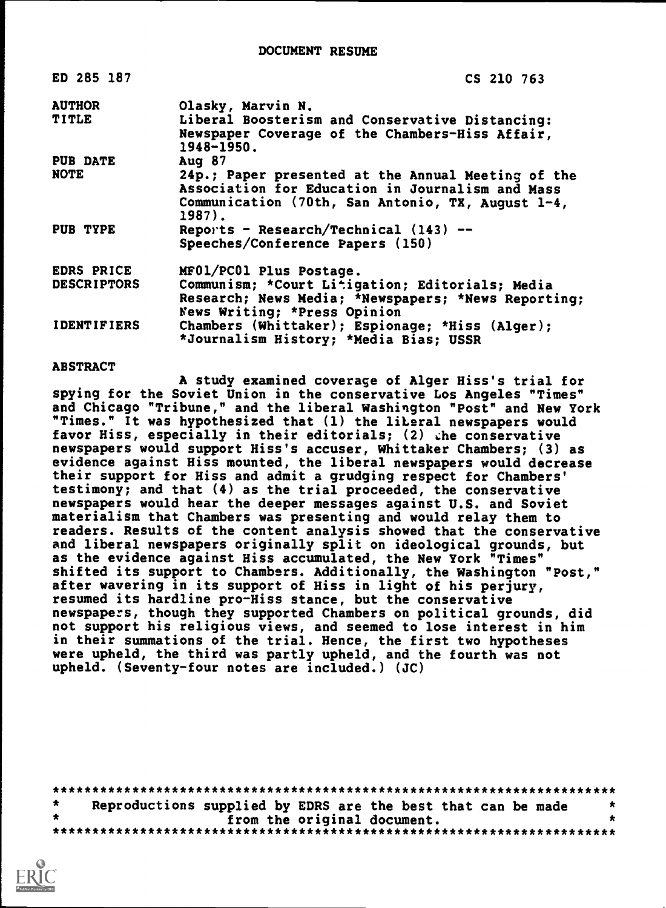| ED 285 187         | CS 210 763                                                                                                                                                            |
|--------------------|-----------------------------------------------------------------------------------------------------------------------------------------------------------------------|
| <b>AUTHOR</b>      | Olasky, Marvin N.                                                                                                                                                     |
| <b>TITLE</b>       | Liberal Boosterism and Conservative Distancing:<br>Newspaper Coverage of the Chambers-Hiss Affair,<br>1948-1950.                                                      |
| <b>PUB DATE</b>    | Aug $87$                                                                                                                                                              |
| <b>NOTE</b>        | 24p.; Paper presented at the Annual Meeting of the<br>Association for Education in Journalism and Mass<br>Communication (70th, San Antonio, TX, August 1-4,<br>1987). |
| PUB TYPE           | Reports - Research/Technical $(143)$ --                                                                                                                               |
|                    | Speeches/Conference Papers (150)                                                                                                                                      |
| EDRS PRICE         | MF01/PC01 Plus Postage.                                                                                                                                               |
| <b>DESCRIPTORS</b> | Communism; *Court Litigation; Editorials; Media                                                                                                                       |
|                    | Research; News Media; *Newspapers; *News Reporting;<br>News Writing; *Press Opinion                                                                                   |
| <b>IDENTIFIERS</b> | Chambers (Whittaker); Espionage; *Hiss (Alger);<br>*Journalism History; *Media Bias; USSR                                                                             |

#### ABSTRACT

A study examined coverage of Alger Hiss's trial for spying for the Soviet Union in the conservative Los Angeles "Times" and Chicago "Tribune," and the liberal Washington "Post" and New York "Times." It was hypothesized that (1) the liberal newspapers would favor Hiss, especially in their editorials; (2) the conservative newspapers would support Hiss's accuser, Whittaker Chambers; (3) as evidence against Hiss mounted, the liberal newspapers would decrease their support for Hiss and admit a grudging respect for Chambers' testimony; and that (4) as the trial proceeded, the conservative newspapers would hear the deeper messages against U.S. and Soviet materialism that Chambers was presenting and would relay them to readers. Results of the content analysis showed that the conservative and liberal newspapers originally split on ideological grounds, but as the evidence against Hiss accumulated, the New York "Times" shifted its support to Chambers. Additionally, the Washington "Post," after wavering in its support of Hiss in light of his perjury, resumed its hardline pro-Hiss stance, but the conservative newspapers, though they supported Chambers on political grounds, did not support his religious views, and seemed to lose interest in him in their summations of the trial. Hence, the first two hypotheses were upheld, the third was partly upheld, and the fourth was not upheld. (Seventy-four notes are included.) (JC)

\*\*\*\*\*\*\*\*\*\*\*\*\*\*\*\*\*\*\*\*\*\*\*\*\*\*\*\*\*\*\*\*\*\*\*\*\*\*\*\*\*\*\*\*\*\*\*\*\*\*\*\*\*\*\*\*\*\*\*\*\*\*\*\*\*\*\*\*\*\*\*  $\star$ Reproductions supplied by EDRS are the best that can be made  $*$ <br>from the original document. from the original document. \*\*\*\*\*\*\*\*\*\*\*\*\*\*\*\*\*\*\*\*\*\*\*\*\*\*\*\*\*\*\*\*\*\*\*\*\*\*\*\*\*\*\*\*\*\*\*\*\*\*\*\*\*\*\*\*\*\*\*\*\*\*\*\*\*\*\*\*\*\*\*

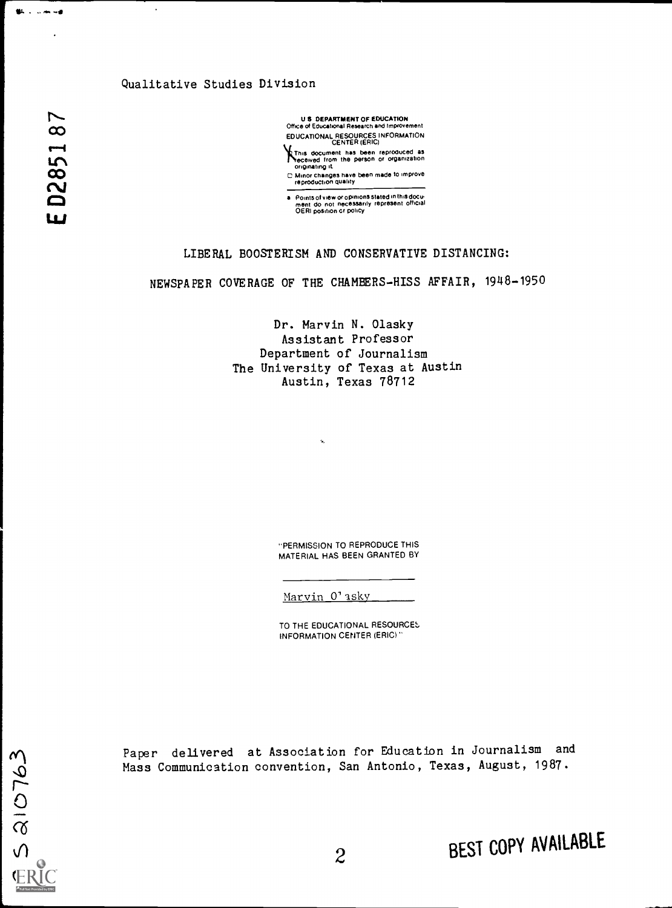# Qualitative Studies Division

 $\omega$  and  $\omega$ r-4  $\mathbf{L}$  $\infty$ LIJ

 $5210763$ 

**BL** . .....

U 8 DEPARTMENT OF EDUCATION Office of Educational Research and improvement EDUCATIONAL RESOURCES INFORMATION

CENTER (ERIC)<br>This document has been reproduced as<br>originating it<br>originating it

C Minor changes have been made to improve

reproduction quality<br>
Points of view or opinions stated in this docu-<br>
ment do not necessarily represent official<br>
OERI position or policy

# LIBERAL BOOSTERISM AND CONSERVATIVE DISTANCING:

NEWSPAPER COVERAGE OF THE CHAMBERS-HISS AFFAIR, 1948-1950

Dr. Marvin N. Olasky Assistant Professor Department of Journalism The University of Texas at Austin Austin, Texas 78712

> "PERMISSION TO REPRODUCE THIS MATERIAL HAS BEEN GRANTED BY

Marvin O'asky

k.

TO THE EDUCATIONAL RESOURCES. INFORMATION CENTER (ERIC)"

Paper delivered at Association for Education in Journalism and Mass Communication convention, San Antonio, Texas, August, 1987.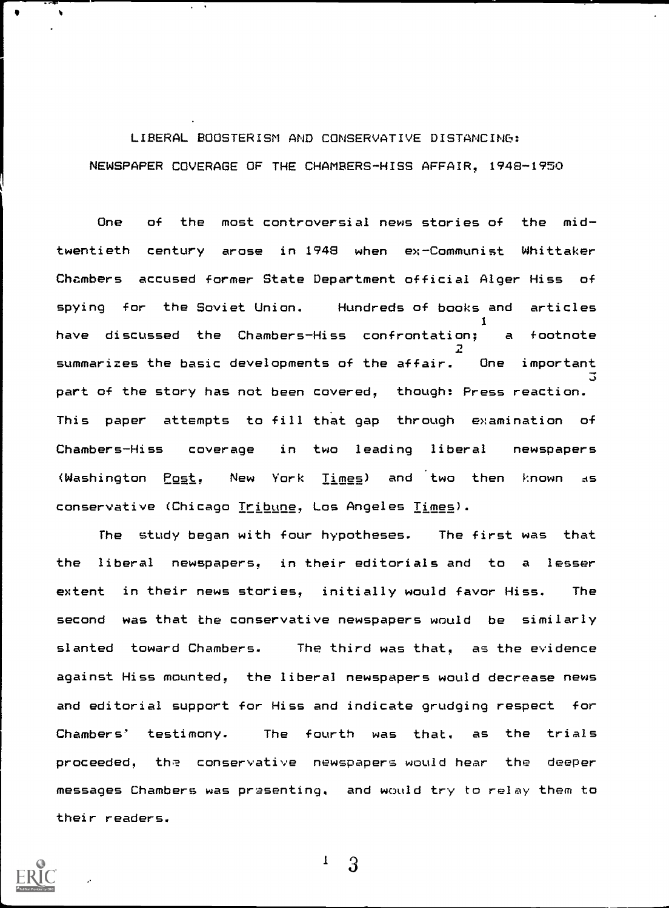# LIBERAL BOOSTERISM AND CONSERVATIVE DISTANCING: NEWSPAPER COVERAGE OF THE CHAMBERS-HISS AFFAIR, 1948-1950

One of the most controversial news stories of the midtwentieth century arose in 1948 when ex-Communist Whittaker Chambers accused former State Department official Alger Hiss of spying for the Soviet Union. Hundreds of books and articles 1 have discussed the Chambers-Hiss confrontation; a footnote  $\mathbf{P}$ summarizes the basic developments of the affair. One important 3 part of the story has not been covered, though: Press reaction. This paper attempts to fill that gap through examination of Chambers-Hiss coverage in two leading liberal newspapers (Washington  $Post$ , New York  $Time$  and two then known as</u></u> conservative (Chicago Tribune, Los Angeles Times).

The study began with four hypotheses. The first was that the liberal newspapers, in their editorials and to a lesser extent in their news stories, initially would favor Hiss. The second was that the conservative newspapers would be similarly slanted toward Chambers. The third was that, as the evidence against Hiss mounted, the liberal newspapers would decrease news and editorial support for Hiss and indicate grudging respect for Chambers' testimony. The fourth was that, as the trials proceeded, the conservative newspapers would hear the deeper messages Chambers was prasenting, and would try to relay them to their readers.

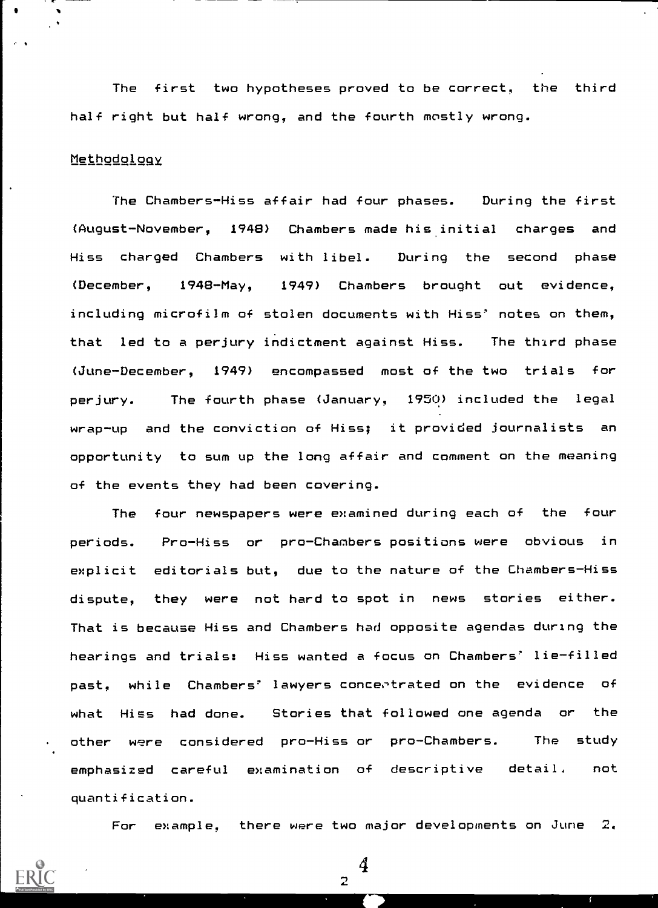The first two hypotheses proved to be correct, the third half right but half wrong, and the fourth mostly wrong.

# Methodology

The Chambers-Hiss affair had four phases. During the first (August-November, 1948) Chambers made his initial charges and Hiss charged Chambers with libel. During the second phase (December, 1948-May, 1949) Chambers brought out evidence, including microfilm of stolen documents with Hiss' notes on them, that led to a perjury indictment against Hiss. The third phase (June-December, 1949) encompassed most of the two trials for perjury. The fourth phase (January, 1950) included the legal wrap-up and the conviction of Hiss; it provided journalists an opportunity to sum up the long affair and comment on the meaning of the events they had been covering.

The four newspapers were examined during each of the four periods. Pro-Hiss or pro-Chambers positions were obvious in explicit editorials but, due to the nature of the Chambers-Hiss dispute, they were not hard to spot in news stories either. That is because Hiss and Chambers had opposite agendas during the hearings and trials: Hiss wanted a focus on Chambers' lie-filled past, while Chambers' lawyers concertrated on the evidence of what Hiss had done. Stories that followed one agenda or the other were considered pro-Hiss or pro-Chambers. The study emphasized careful examination of descriptive detail, not quantification.

For example, there were two major developments on June  $2$ .

4

 $\overline{2}$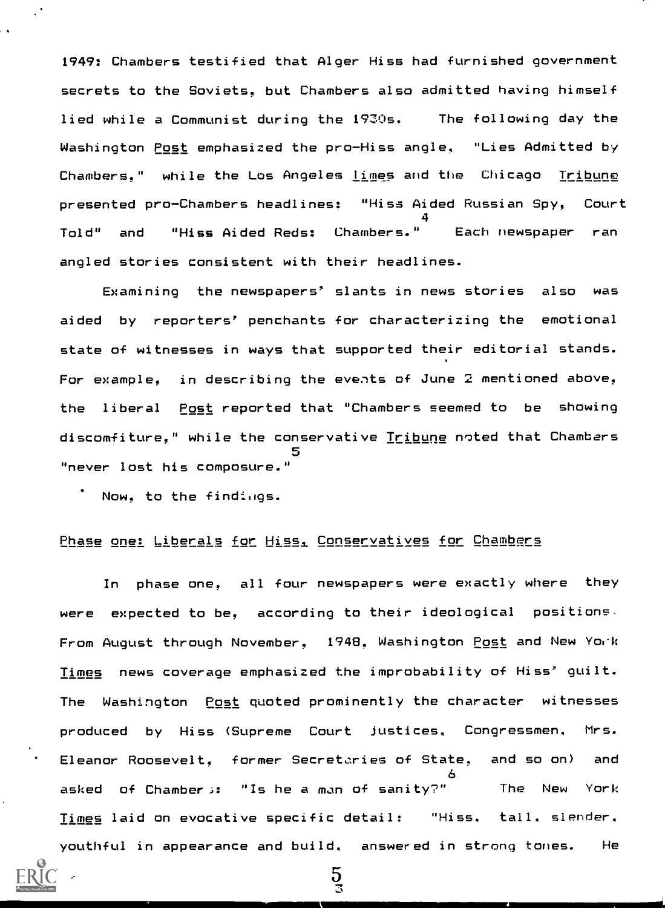1949: Chambers testified that Alger Hiss had furnished government secrets to the Soviets, but Chambers also admitted having himself lied while a Communist during the 1930s. The following day the Washington Post emphasized the pro-Hiss angle, "Lies Admitted by Chambers," while the Los Angeles <u>lime</u>s and the Chicago <u>Tribune</u> presented pro-Chambers headlines: "Hiss Aided Russian Spy, Court 4 Told" and "Hiss Aided Reds: Chambers." Each newspaper ran angled stories consistent with their headlines.

Examining the newspapers' slants in news stories also was aided by reporters' penchants for characterizing the emotional state of witnesses in ways that supported their editorial stands. For example, in describing the eveats of June 2 mentioned above, the liberal Post reported that "Chambers seemed to be showing discomfiture," while the conservative Tribune noted that Chambers "never lost his composure."

Now, to the findings.

## Phase one: Liberals for Hissi. Conservatives for Chambers

In phase one, all four newspapers were exactly where they were expected to be, according to their ideological positions. From August through November, 1948, Washington Post and New York Times news coverage emphasized the improbability of Hiss' guilt. The Washington Post quoted prominently the character witnesses produced by Hiss (Supreme Court justices, Congressmen. Mrs. Eleanor Roosevelt, former Secretaries of State, and so on) and 6 asked of Chambers: "Is he a man of sanity?" The New York Times laid on evocative specific detail: "Hiss, tall. slender, youthful in appearance and build. answered in strong tones. He

 $\frac{5}{3}$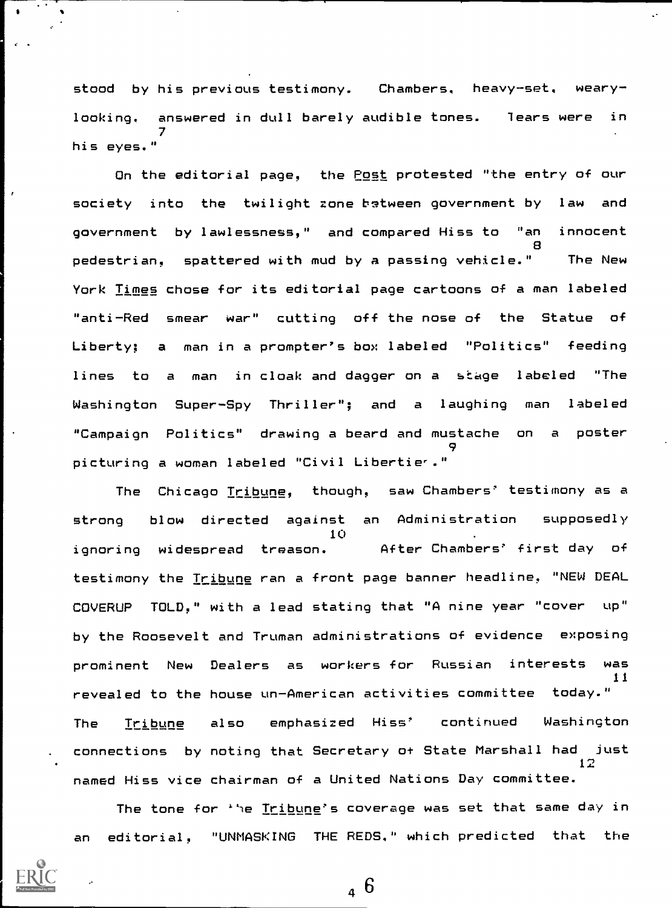stood by his previous testimony. Chambers, heavy-set. wearylooking, answered in dull barely audible tones. fears were in 7 his eyes."

On the editorial page, the Post protested "the entry of our society into the twilight zone-batween government by law and government by lawlessness," and compared Hiss to "an innocent 8 pedestrian, spattered with mud by a passing vehicle." The New York Times chose for its editorial page cartoons of a man labeled "anti-Red smear war" cutting off the nose of the Statue of Liberty; a man in a prompter's box labeled "Politics" feeding lines to a man in cloak and dagger on a stage labeled "The Washington Super-Spy Thriller"; and a laughing man labeled "Campaign Politics" drawing a beard and mustache on a poster 9 picturing a woman labeled "Civil Libertier."

The Chicago Tribune, though, saw Chambers' testimony as a strong blow directed against an Administration supposedly 10 ignoring widespread treason. After Chambers' first day of testimony the Tribune ran a front page banner headline, "NEW DEAL COVERUP TOLD," with a lead stating that "A nine year "cover up" by the Roosevelt and Truman administrations of evidence exposing prominent New Dealers as workers for Russian interests was 11 revealed to the house un-American activities committee today." The Tribune also emphasized Hiss' continued Washington connections by noting that Secretary of State Marshall had just 12 named Hiss vice chairman of a United Nations Day committee.

The tone for 'he <u>Tribune</u>'s coverage was set that same day in an editorial, "UNMASKING THE REDS." which predicted that the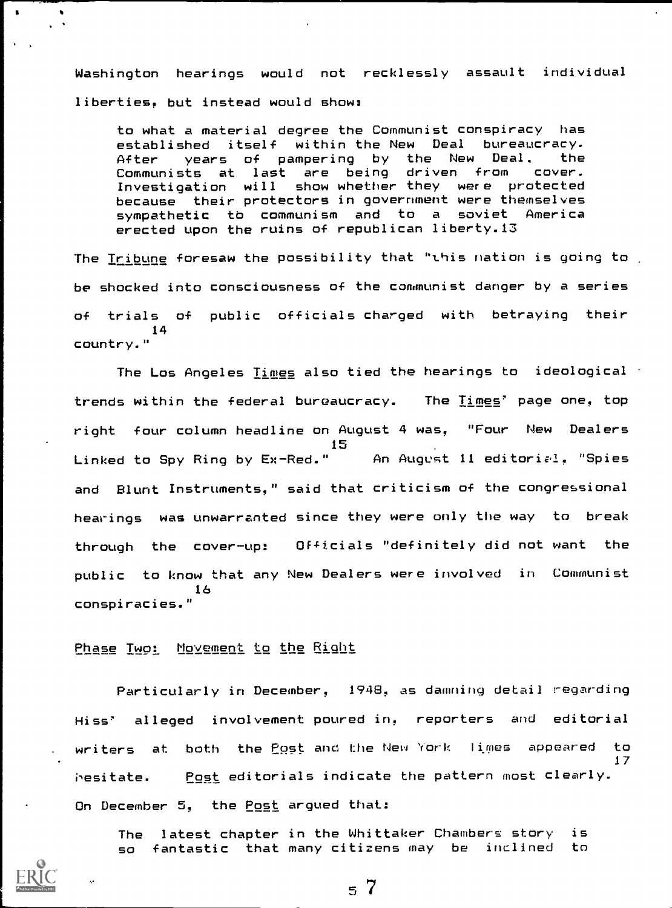Washington hearings would not recklessly assault individual liberties, but instead would show:

to what a material degree the Communist conspiracy has established itself within-the-New Deal bureaucracy.<br>After - vears of pampering by the New Deal, the years of pampering by the New Deal. the<br>sts at last are being driven from cover. Communists at last are being driven from Investigation will show whether they were protected because their protectors in government were themselves sympathetic to communism and to a soviet America erected upon the ruins of republican liberty.13

The Iribune foresaw the possibility that "this nation is going to , be shocked into consciousness of the communist danger by a series of trials of public officials charged with betraying their 14 country."

The Los Angeles  $\underline{\texttt{lines}}$  also tied the hearings to ideological  $\cdot$ trends within the federal bureaucracy. The Times' page one, top right four column headline on August 4 was. "Four New Dealers 15<br>An August 11 editorial. "Spies Linked to Spy Ring by Ex-Red." and Blunt Instruments," said that criticism of the congressional hearings was unwarranted since they were only the way to break through the cover-up: Officials "definitely did not want the public to know that any New Dealers were involved in Communist 16 conspiracies."

Phase Two: Movement to the Right

Particularly in December, 1948, as damning detail regarding Hiss' alleged involvement poured in, reporters and editorial writers at both the Post and the New York limes appeared to 17 hesitate. Post editorials indicate the pattern most clearly. On December 5, the Post argued that:

The latest chapter in the Whittaker Chambers story is so fantastic that many citizens may be inclined to

...1

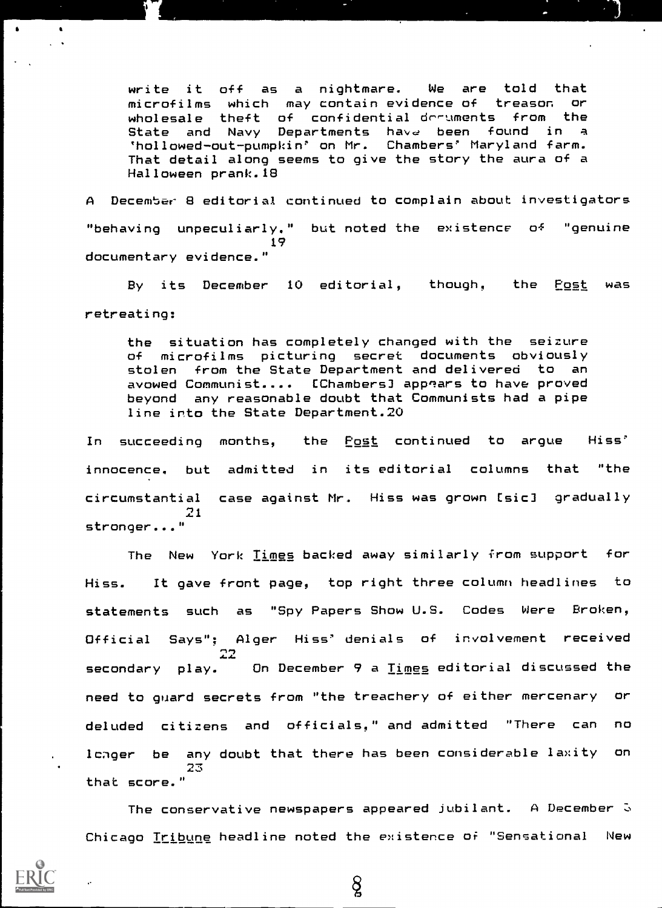write it off as a nightmare. We are told that microfilms which may contain evidence of treason or wholesale theft of confidential-drruments from the<br>State and Navy Departments have been found in a 'hollowed-out-pumpkin' on Mr. Chambers' Maryland farm. That detail along seems to give the story the aura of a Halloween prank.18

A December 8 editorial continued to complain about investigators "behaving unpeculiarly." but noted the existence  $Q^2$  "genuine 19 documentary evidence."

By its December 10 editorial, though, the Post was retreating:

the situation has completely changed with the seizure of microfilms picturing secret documents obviously stolen from the State Department and delivered to an avowed Communist.... [Chambers] apprars to have proved beyond any reasonable doubt that Communists had a pipe line into the State Department.20

In succeeding months, the <u>Post</u> continued to argue Hiss' innocence, but admitted in its editorial columns that "the circumstantial case against Mr. Hiss was grown Csic] gradually 21 stronger..."

The New York Times backed away similarly from support for Hiss. It gave front page, top right three column headlines to statements such as "Spy Papers Show U.S. Codes Were Broken, Official Says"; Alger Hiss' denials of involvement received secondary play. 22, On December 9 a Times editorial discussed the need to guard secrets from "the treachery of either mercenary or deluded citizens and officials," and admitted "There can no lcager be any doubt that there has been considerable laxity on 23 that score."

The conservative newspapers appeared jubilant. A December  $\Im$ Chicago Tribune headline noted the existence or "Sensational New

 $8\overline{)}$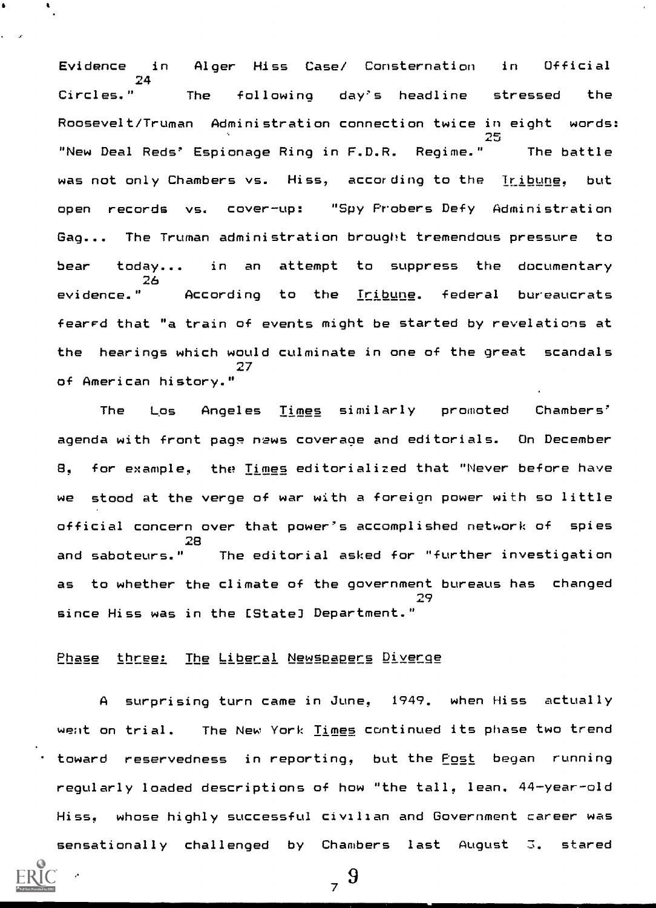Evidence in Alger Hiss Case/ Consternation in Official 24 Circles." The following day's headline stressed the Roosevelt/Truman Administration connection twice in eight words:  $25$   $\overline{\phantom{a}}$ "New Deal Reds' Espionage Ring in F.D.R. Regime." The battle was not only Chambers vs. Hiss, according to the Tribune, but open records vs. cover-up: "Spy Probers Defy Administration Gag... The Truman administration brought tremendous pressure to bear today... 26 evidence." in an attempt to suppress the documentary According to the Tribune. federal bureaucrats fearrd that "a train of events might be started by revelations at the hearings which would culminate in one of the great scandals 27 of American history."

The Los Angeles Times similarly promoted Chambers' agenda with front page news coverage and editorials. On December 8, for example, the Times editorialized that "Never before have we stood at the verge of war with a foreion power with so little official concern over that power's accomplished network of spies 28<br>and saboteurs." The editorial asked for "further investigation as to whether the climate of the government bureaus has changed 29 since Hiss was in the [State) Department."

Phase three: The Liberal Newspapers Diverge

A surprising turn came in June, 1949. when Hiss actually went on trial. The New York Times continued its phase two trend toward reservedness in reporting, but the Post began running regularly loaded descriptions of how "the tall, lean. 44-year-old Hiss, whose highly successful civilian and Government career was  $s$ ensationally challenged by Chambers last August 3. stared



 $\frac{9}{7}$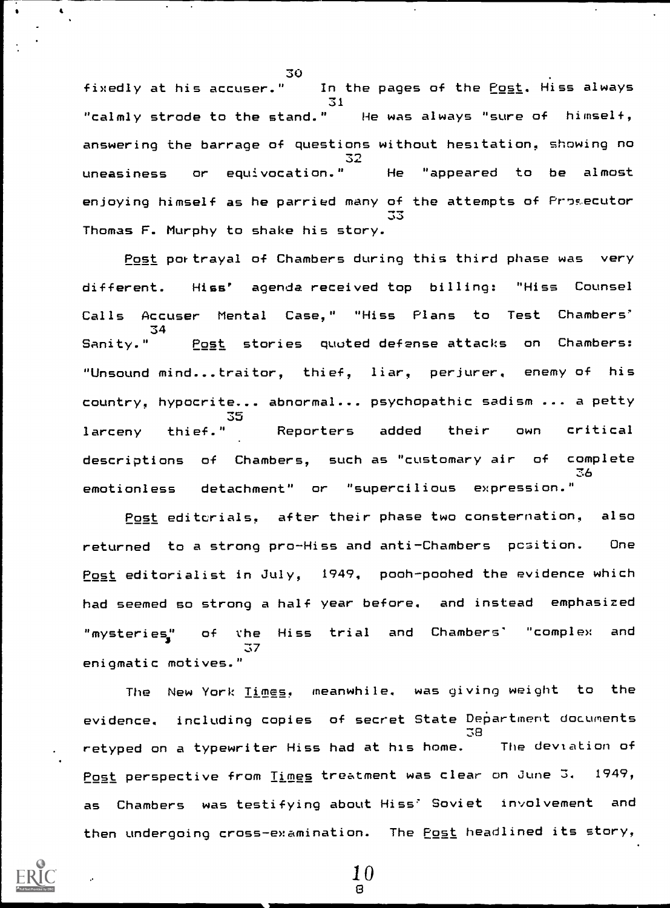30<br>fixedly at his accuser." In the pages of the Post. Hiss always 31 "calmly strode to the stand." He was always "sure of himself, answering the barrage of questions without hesitation, showing no 32 uneasiness or equivocation." He "appeared to be almost enjoying himself as he parried many of the attempts of Prosecutor 33 March 2014 Thomas F. Murphy to shake his story.

Post portrayal of Chambers during this third phase was very different. Hiss' agenda received top billing: "Hiss Counsel Calls Accuser Mental Case," "Hiss Plans to Test Chambers' 34 Sanity." Post stories quoted defense attacks on Chambers: "Unsound mind...traitor, thief, liar, perjurer, enemy of his country, hypocrite... abnormal... psychopathic sadism ... a petty J J larceny thief." Reporters added their own critical descriptions of Chambers, such as "customary air of complete 36 emotionless detachment" or "supercilious expression."

Post editcrials, after their phase two consternation, also returned to a strong pro-Hiss and anti-Chambers position. One Post editorialist in July, 1949, pooh-poohed the evidence which had seemed so strong a half year before, and instead emphasized "mysteries;' of the Hiss trial and Chambers' "complex and 37 enigmatic motives."

The New York Times, meanwhile, was giving weight to the evidence, including copies of secret State Department documents 38 retyped on a typewriter Hiss had at his home. The deviation of Post perspective from Times treatment was clear on June Z. 1949, as Chambers was testifying about Hiss' Soviet involvement and then undergoing cross-examination. The Post headlined its story,

> 10  $\Omega$

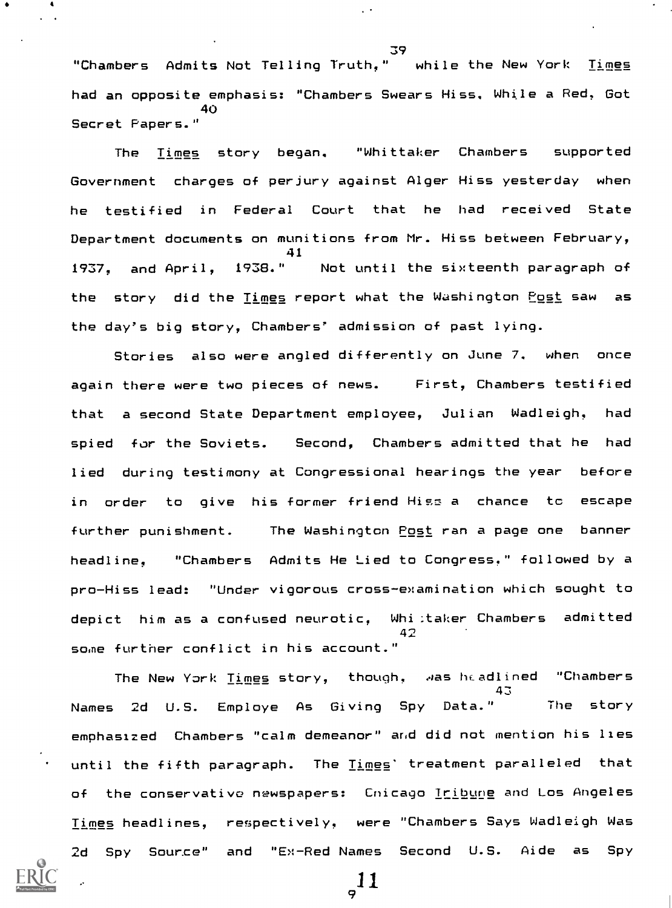"Chambers Admits Not Telling Truth." while the New York Times had an opposite emphasis: "Chambers Swears Hiss. While a Red, Got 40 Secret Papers."

The Times story began. "Whittaker Chambers supported Government charges of perjury against Alger Hiss yesterday when he testified in Federal Court that he had received State Department documents on munitions from Mr. Hiss between February, 41 1937, and April, 1938." Not until the sixteenth paragraph of the story did the <u>Times</u> report what the Washington Post saw as the day's big story, Chambers' admission of past lying.

Stories also were angled differently on June 7. when once again there were two pieces of news. First, Chambers testified that a second State Department employee, Julian Wadleigh, had spied for the Soviets. Second, Chambers admitted that he had lied during testimony at Congressional hearings the year before in order to give his former friend Hiss a chance to escape further punishment. The Washington Post ran a page one banner headline, "Chambers Admits He Lied to Congress." followed by a pro-Hiss lead: "Under vigorous cross-examination which sought to depict him as a confused neurotic, Whi:taker Chambers admitted 42 some further conflict in his account."

The New York Times story, though, was headlined "Chambers 43 Names 2d U.S. Employe As Giving Spy Data." The story emphasized Chambers "calm demeanor" and did not mention his lies until the fifth paragraph. The Times' treatment paralleled that of the conservative newspapers: Chicago Iribune and Los Angeles Times headlines, respectively, were "Chambers Says Wadleigh Was 2d Spy Source" and "Ex-Red Names Second U.S. Aide as Spy



A

39

11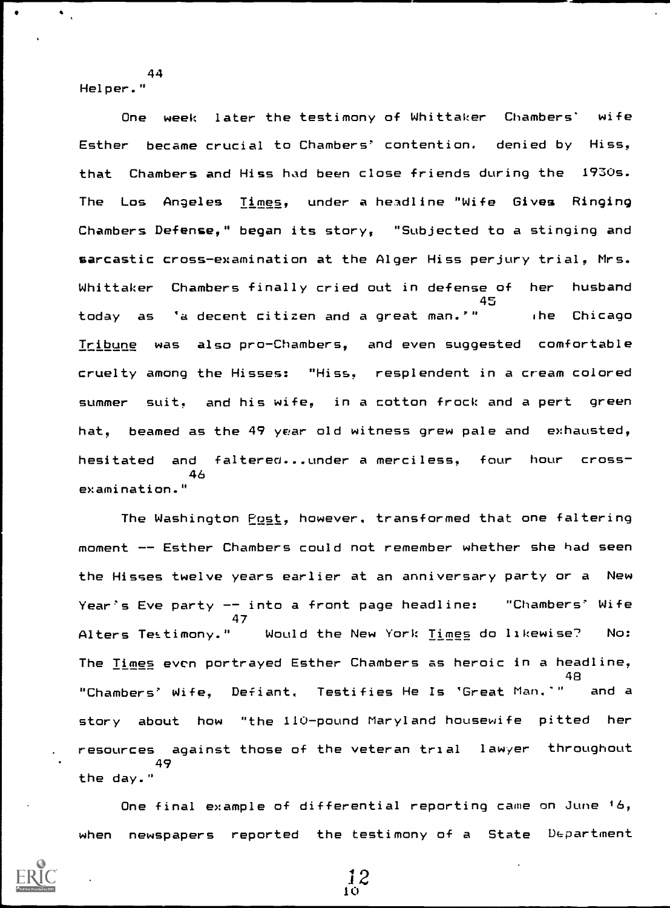Helper."

44

One week later the testimony of Whittaker Chambers' wife Esther became crucial to Chambers' contention, denied by Hiss, that Chambers and Hiss had been close friends during the 1930s. The Los Angeles Times, under a headline "Wife Gives Ringing Chambers Defense," began its story, "Subjected to a stinging and sarcastic cross-examination at the Alger Hiss perjury trial, Mrs. Whittaker Chambers finally cried out in defense of her husband 45 today as 'a decent citizen and a great man.'" (he Chicago Tribune was also pro-Chambers, and even suggested comfortable cruelty among the Hisses: "Hiss, resplendent in a cream colored summer suit, and his wife, in a cotton frock and a pert green hat, beamed as the 49 year old witness grew pale and exhausted, hesitated and faltered...under a merciless, four hour cross-46 examination."

The Washington Post, however. transformed that one faltering moment -- Esther Chambers could not remember whether she had seen the Hisses twelve years earlier at an anniversary party or a New Year's Eve party -- into a front page headline: "Chambers' Wife 47 Alters Testimony." Would the New York Times do likewise? No: The Times even portrayed Esther Chambers as heroic in a headline, 48 "Chambers' Wife, Defiant. Testifies He Is 'Great Man.'" and a story about how "the 110-pound Maryland housewife pitted her resources against those of the veteran trial lawyer throughout 49 the day."

One final example of differential reporting came on June 16, when newspapers reported the testimony of a State Department

 $\frac{12}{10}$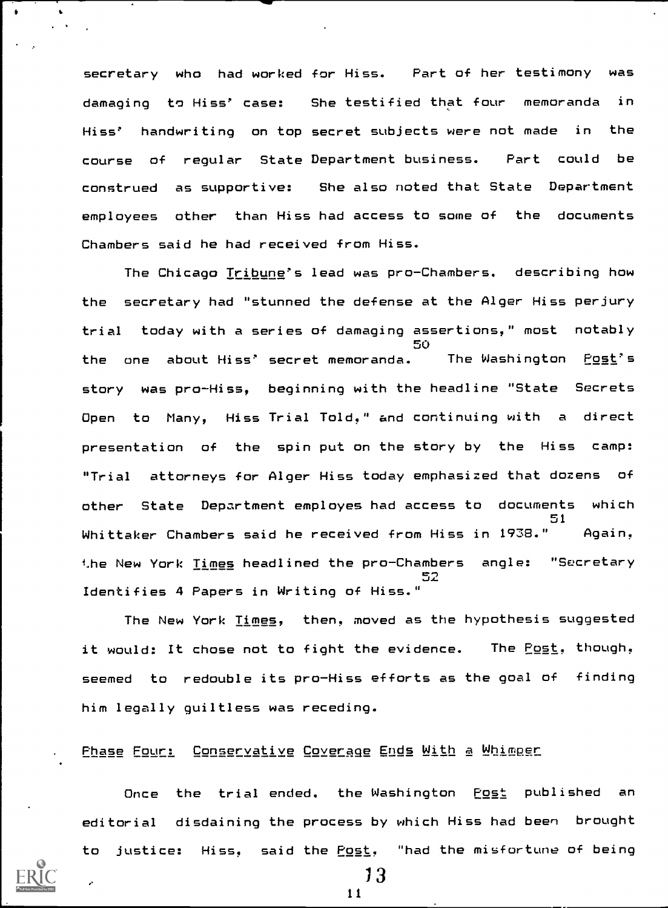secretary who had worked for Hiss. Part of her testimony was damaging to Hiss' case: She testified that four memoranda in Hiss' handwriting on top secret subjects were not made in the course of regular State Department business. Part could be construed as supportive: She also noted that State Department employees other than Hiss had access to some of the documents Chambers said he had received from Hiss.

The Chicago Tribune's lead was pro-Chambers. describing how the secretary had "stunned the defense at the Alger Hiss perjury trial today with a series of damaging assertions," most notably 50 the one about Hiss' secret memoranda. The Washington Post's story was pro-Hiss, beginning with the headline "State Secrets Open to Many, Hiss Trial Told," and continuing with <sup>a</sup> direct presentation of the spin put on the story by the Hiss camp: "Trial attorneys for Alger Hiss today emphasized that dozens of other State Department employes had access to documents which 51 Whittaker Chambers said he received from Hiss in 1938." Again, the New York <u>Times</u> headlined the pro-Chambers angle: "Secretary  $L$  i.e. Identifies 4 Papers in Writing of Hiss."

The New York Times, then, moved as the hypothesis suggested it would: It chose not to fight the evidence. The Post, though, seemed to redouble its pro-Hiss efforts as the goal of finding him legally guiltless was receding.

Phase Four: Conservative Coverge Ends With a Whimper

Once the trial ended. the Washington Post published an editorial disdaining the process by which Hiss had been brought to justice: Hiss, said the Post, "had the misfortune of being



13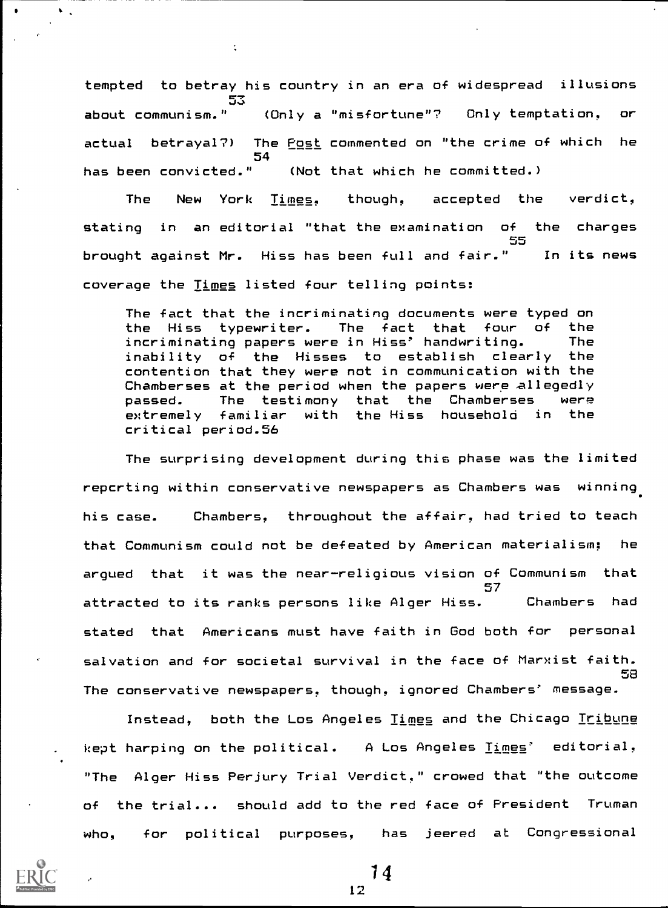tempted to betray his country in an era of widespread illusions  $-2.5$ about communism." (Only a "misfortune"? Only temptation, or actual betrayal?) The Post commented on "the crime of which he 54 has been convicted." (Not that which he committed.)

The New York Times, though, accepted the verdict, stating in an editorial "that the examination of the charges 55 brought against Mr. Hiss has been full and fair." coverage the Times listed four telling points: In its news

The fact that the incriminating documents were typed on the Hiss typewriter. The fact that four of the incriminating papers were in Hiss' handwriting. The inability of the Hisses to establish clearly the contention that they were not in communication with the Chamberses at the period when the papers were allegedly passed. The testimony that the Chamberses were extremely familiar with the Hiss household in the critical period.56

The surprising development during this phase was the limited reperting within conservative newspapers as Chambers was winning his case. Chambers, throughout the affair, had tried to teach that Communism could not be defeated by American materialism; he argued that it was the near-religious vision of Communism that 57 attracted to its ranks persons like Alger Hiss. Chambers had stated that Americans must have faith in God both for personal salvation and for societal survival in the face of Marxist faith. 58 The conservative newspapers, though, ignored Chambers' message.

Instead, both the Los Angeles <u>Times</u> and the Chicago <u>Tribune</u> kept harping on the political. A Los Angeles Times' editorial, "The Alger Hiss Perjury Trial Verdict," crowed that "the outcome of the trial... should add to the red face of President Truman who, for political purposes, has jeered at Congressional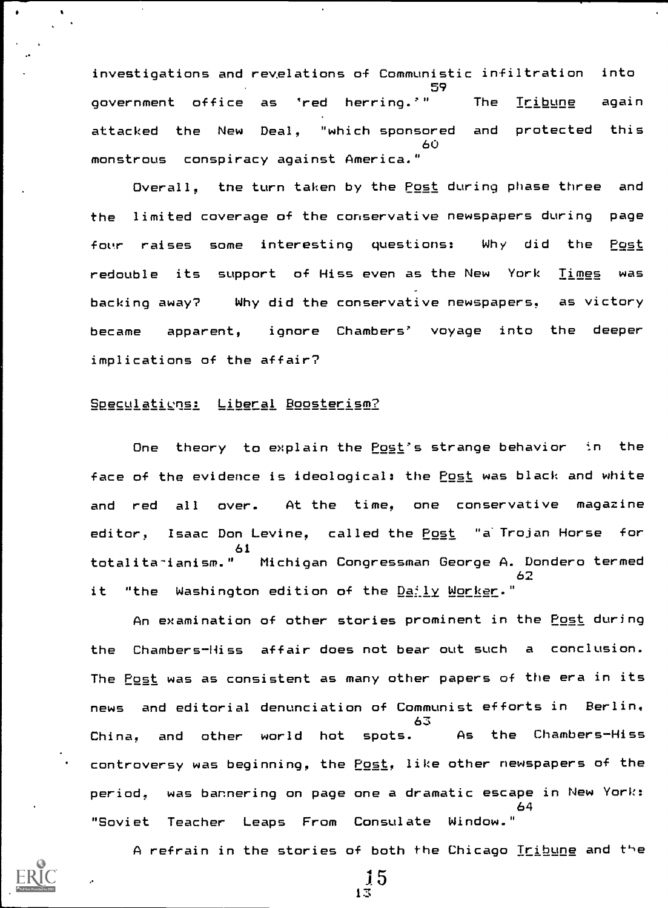investigations and revelations of Communistic infiltration into 59 government office as 'red herring.'" The Tribune again attacked the New Deal, "which sponsored and protected this 60 monstrous conspiracy against America."

Overall, the turn taken by the Post during phase three and the limited coverage of the conservative newspapers during page four raises some interesting questions: Why did the Post redouble its support of Hiss even as the New York Times was backing away? Why did the conservative newspapers, as victory became apparent, ignore Chambers' voyage into the deeper implications of the affair?

# SReculations: Liberal Boosterism?

One theory to explain the Post's strange behavior in the face of the evidence is ideological: the Post was black and white and red all over. At the time, one conservative magazine editor, Isaac Don Levine, called the Post "a Trojan Horse for 61 totalita-ianism." Michigan Congressman George A. Dondero termed 62 it "the Washington edition of the Daily Worker."

An examination of other stories prominent in the Post during the Chambers-Hiss affair does not bear out such <sup>a</sup> conclusion. The Post was as consistent as many other papers of the era in its news and editorial denunciation of Communist efforts in Berlin, 63<br>As the Chambers-Hiss China, and other world hot spots. As controversy was beginning, the Post, like other newspapers of the period, was bar.nering on page one a dramatic escape in New York: 64 "Soviet Teacher Leaps From Consulate Window."

A refrain in the stories of both the Chicago Tribune and the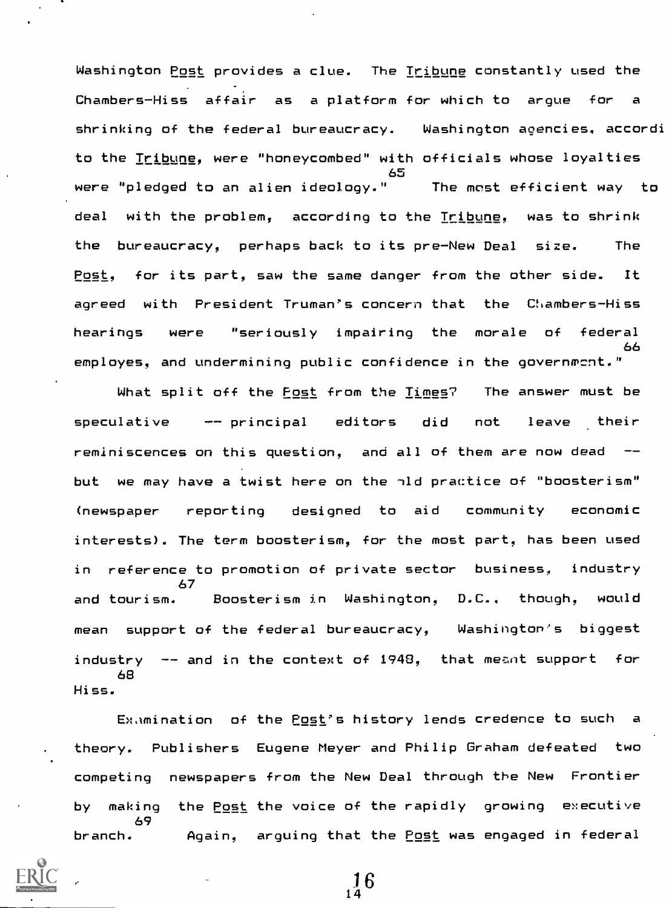Washington Post provides a clue. The Tribune constantly used the Chambers-Hiss affair as a platform for which to arque for shrinking of the federal bureaucracy. Washington agencies, accordi to the Tribune, were "honeycombed" with officials whose loyalties 65 were "pledged to an alien ideology." The most efficient way to deal with the problem, according to the Tribune, was to shrink the bureaucracy, perhaps back to its pre-New Deal size. The Post, for its part, saw the same danger from the other side. It agreed with President Truman's concern that the Clambers -Hiss hearings were "seriously impairing the morale of federal 66 employes, and undermining public confidence in the governmcnt."

What split off the <u>Fost</u> from the Times? The answer must be speculative -- principal editors did not leave their reminiscences on this question, and all of them are now dead -but we may have a twist here on the nld practice of "boosterism" (newspaper reporting designed to aid community economic interests). The term boosterism, for the most part, has been used in reference to promotion of private sector business, industry 67 and tourism. Boosterism in Washington, D.C., though, would mean support of the federal bureaucracy, Washington's biggest industry  $-$  and in the context of 1948, that meant support for 68 Hiss.

Ex.Imination of the Post's history lends credence to such a theory. Publishers Eugene Meyer and Philip Graham defeated two competing newspapers from the New Deal through the New Frontier by making the Post the voice of the rapidly growing executive 69 branch. Again, arguing that the Post was engaged in federal

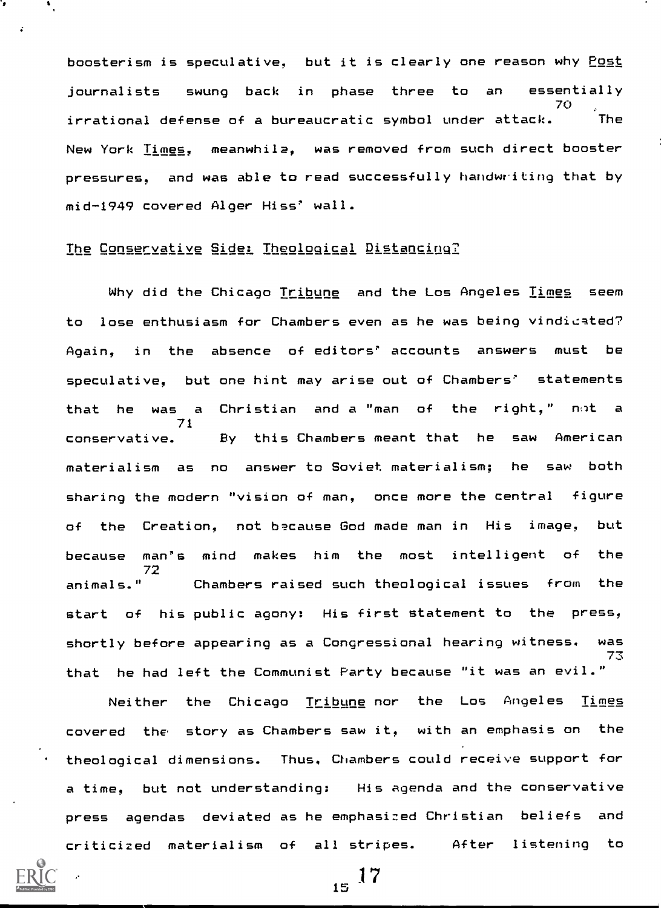boosterism is speculative, but it is clearly one reason why Post journalists swung back in phase three to an essentially 70 irrational defense of a bureaucratic symbol under attack. The New York Times, meanwhile, was removed from such direct booster pressures, and was able to read successfully handwriting that by mid-1949 covered Alger Hiss' wall.

# The Conservative Side: Theological Distancing?

Why did the Chicago Tribune and the Los Angeles Times seem to lose enthusiasm for Chambers even as he was being vindicated? Again, in the absence of editors' accounts answers must be speculative, but one hint may arise out of Chambers' statements that he was a Christian and a "man of the right," not a 71 conservative. By this Chambers meant that he saw American materialism as no answer to Soviet materialism; he saw both sharing the modern "vision of man, once more the central figure of the Creation, not because God made man in His image, but because man's mind makes him the most intelligent of the 72<br>animals." Chambers raised such theological issues from the start of his public agony: His first statement to the press, shortly before appearing as a Congressional hearing witness. was 73 that he had left the Communist Party because "it was an evil."

Neither the Chicago Tribune nor the Los Angeles Times covered the story as Chambers saw it, with an emphasis on the theological dimensions. Thus. Chambers could receive support for a time, but not understanding: His agenda and the conservative press agendas deviated as he emphasized Christian beliefs and criticized materialism of all stripes. After listening to

 $15^{17}$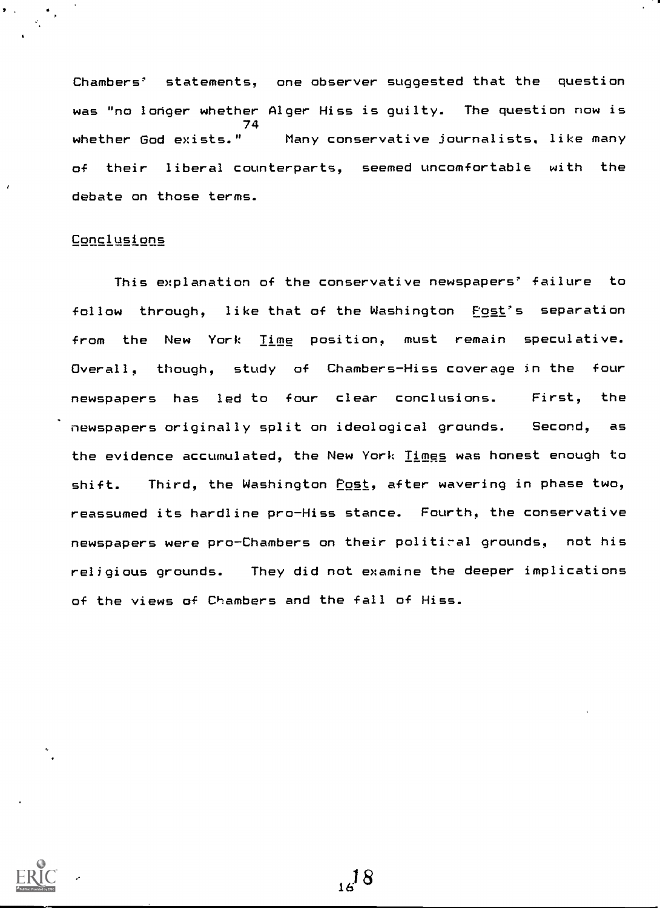Chambers' statements, one observer suggested that the question was "no longer whether Alger Hiss is guilty. The question now is 74<br>| whether God exists." Many conservative journalists, like many of their liberal counterparts, seemed uncomfortable with the debate on those terms.

### **Conclusions**

This explanation of the conservative newspapers' failure to follow through, like that of the Washington Post's separation from the New York Time position, must remain speculative. Overall, though, study of Chambers-Hiss coverage in the four newspapers has led to four clear conclusions. First, the newspapers originally split on ideological grounds. Second, as the evidence accumulated, the New York Times was honest enough to shift. Third, the Washington Post, after wavering in phase two, reassumed its hardline pro-Hiss stance. Fourth, the conservative newspapers were pro-Chambers on their politiral grounds, not his religious grounds. They did not examine the deeper implications of the views of Chambers and the fall of Hiss.



 $14^{18}$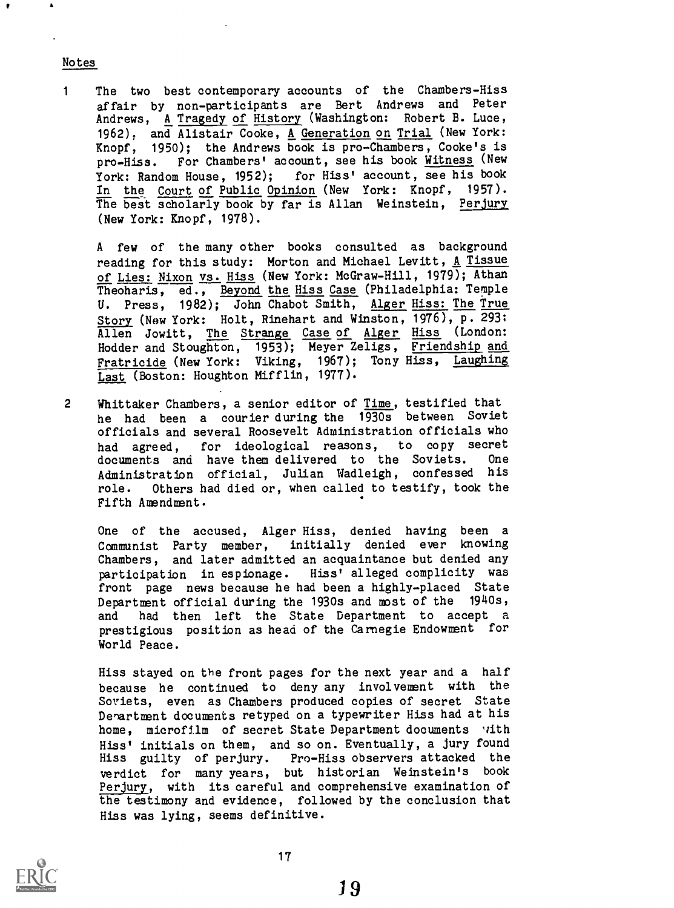#### Notes

<sup>1</sup> The two best contemporary accounts of the Chambers-Hiss affair by non-participants are Bert Andrews and Peter Andrews, A Tragedy of History (Washington: Robert B. Luce, 1962), and Alistair Cooke, A Generation on Trial (New York: Knopf, 1950); the Andrews book is pro-Chambers, Cooke's is pro-Hiss. For Chambers' account, see his book Witness (New York: Random House, 1952); for Hiss' account, see his book for Hiss' account, see his book In the Court of Public Opinion (New York: Knopf, 1957). The best scholarly book by far is Allan Weinstein, Perjury (New York: Knopf, 1978).

A few of the many other books consulted as background reading for this study: Morton and Michael Levitt, A Tissue of Lies: Nixon vs. Hiss (New York: McGraw-Hill, 1979); Athan Theoharis, ed., Beyond the Hiss Case (Philadelphia: Temple U. Press, 1982); John Chabot Smith, Alger Hiss: The True Story (New York: Holt, Rinehart and Winston, 1976), p. 2931 Allen Jowitt, The Strange Case of Alger Hiss (London: Hodder and Stoughton, 1953); Meyer Zeligs, Friendship and Fratricide (New York: Viking, 1967); Tony Hiss, Laughing Last (Boston: Houghton Mifflin, 1977).

2 Whittaker Chambers, a senior editor of Time, testified that he had been <sup>a</sup> courier during the 1930s between Soviet officials and several Roosevelt Administration officials who had agreed, for ideological reasons, to copy secret<br>documents and have-them-delivered to the Soviets. One documents and have them delivered to the Soviets. Administration official, Julian Wadleigh, confessed his role. Others had died or, when called to testify, took the Fifth Amendment.

One of the accused, Alger Hiss, denied having been a Communist Party member, initially denied ever knowing Chambers, and later admitted an acquaintance but denied any participation in espionage. Hiss' alleged complicity was front page news because he had been a highly-placed State Department official during the 1930s and most of the 1940s, and had then left the State Department to accept a prestigious position as head of the Carnegie Endowment for World Peace.

Hiss stayed on the front pages for the next year and a half because he continued to deny any involvement with the Soviets, even as Chambers produced copies of secret State Denartment documents retyped on a typewriter Hiss had at his home, microfilm of secret State Department documents with Hiss' initials on them, and so on. Eventually, a jury found Hiss guilty of perjury. Pro-Hiss observers attacked the verdict for many years, but historian Weinstein's book Perjury, with its careful and comprehensive examination of the testimony and evidence, followed by the conclusion that Hiss was lying, seems definitive.

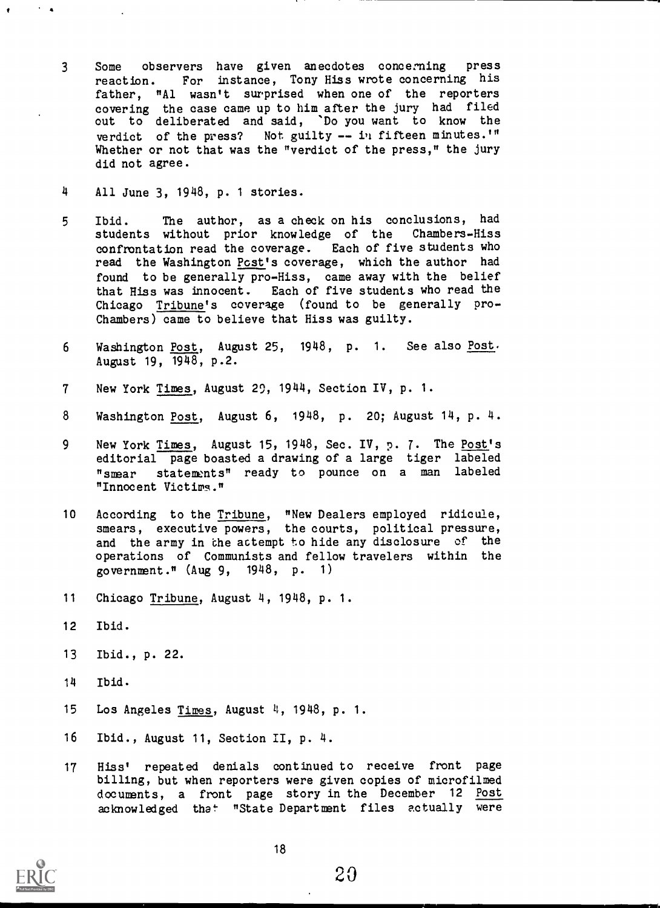- <sup>3</sup> Some observers have given anecdotes concerning press reaction. For instance, Tony Hiss wrote concerning his father, "Al wasn't surprised when one of the reporters covering the case came up to him after the jury had filed out to deliberated and said, 'Do you want to know the verdict of the press? Not guilty -- in fifteen minutes.'" Whether or not that was the "verdict of the press," the jury did not agree.
- 4 All June 3, 1948, p. <sup>1</sup> stories.
- <sup>5</sup> Ibid. The author, as a check on his conclusions, had students without prior knowledge of the Chambers-Hiss confrontation read the coverage. Each of five students who read the Washington Post's coverage, which the author had found to be generally pro-Hiss, came away with the belief that Hiss was innocent. Each of five students who read the Chicago Tribune's coverage (found to be generally pro-Chambers) came to believe that Hiss was guilty.
- <sup>6</sup> Washington Post, August 25, 1948, p. 1. See also Post. August 19, 1948, p.2.
- 7 New York Times, August 29, 1944, Section IV, p. 1.
- 8 Washington Post, August 6, 1948, p. 20; August 14, p. 4.
- 9 New York Times, August 15, 1948, Sec. IV, p. 7. The Post's editorial page boasted a drawing of a large tiger labeled "smear statements" ready to pounce on a man labeled "Innocent Victims."
- 10 According to the <u>Tribune</u>, "New Dealers employed ridicule, smears, executive powers, the courts, political pressure, and the army in the actempt to hide any disclosure of the operations of Communists and fellow travelers within the government." (Aug 9, 1948, p. 1)
- 11 Chicago Tribune, August 4, 1948, p. 1.
- 12 Ibid.

 $\mathcal{F}=\mathbf{A}$ 

- 13 Ibid., p. 22.
- 14 Ibid.
- 15 Los Angeles Times, August 4, 1948, p. 1.
- 16 Ibid., August 11, Section II, p. 4.
- 17 Hiss' repeated denials continued to receive front page billing, but when reporters were given copies of microfilmed documents, a front page story in the December 12 Post acknowledged that "State Department files actually were

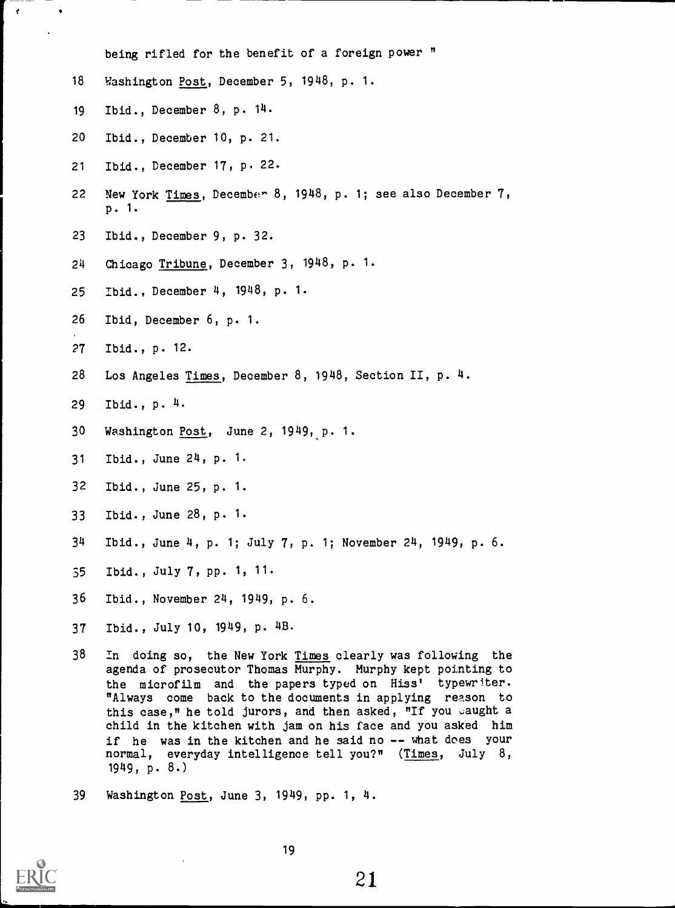being rifled for the benefit of a foreign power "

- Washington Post, December 5, 1948, p. 1.
- Ibid., December 8, p. 14.

 $\epsilon$ 

- Ibid., December 10, p. 21.
- Ibid., December 17, p. 22.
- New York Times, December 8, 1948, p. 1; see also December 7, p. 1.
- Ibid., December 9, p. 32.
- Chicago Tribune, December 3, 1948, p. 1.
- Ibid., December 4, 1948, p. 1.
- Ibid, December 6, p. 1.
- Ibid., p. 12.
- Los Angeles Times, December 8, 1948, Section II, p. 4.
- Ibid., p. 4
- 30 Washington Post, June 2, 1949, p. 1.
- Ibid., June 24, p. 1.
- Ibid., June 25, p. 1.
- Ibid., June 28, p. 1.
- Ibid., June 4, p. 1; July 7, p. 1; November 24, 1949, p. 6.
- Ibid., July 7, pp. 1, 11.
- Ibid., November 24, 1949, p. 6.
- Ibid., July 10, 1949, p. 4B.
- In doing so, the New York Times clearly was following the agenda of prosecutor Thomas Murphy. Murphy kept pointing to the microfilm and the papers typed on Hiss' typewriter. "Always come back to the documents in applying reason to this case," he told jurors, and then asked, "If you caught a child in the kitchen with jam on his face and you asked him if he was in the kitchen and he said no -- what does your normal, everyday intelligence tell you?" (Times, July 8, 1949, p. 8.)
- Washington Post, June 3, 1949, pp. 1, 4.

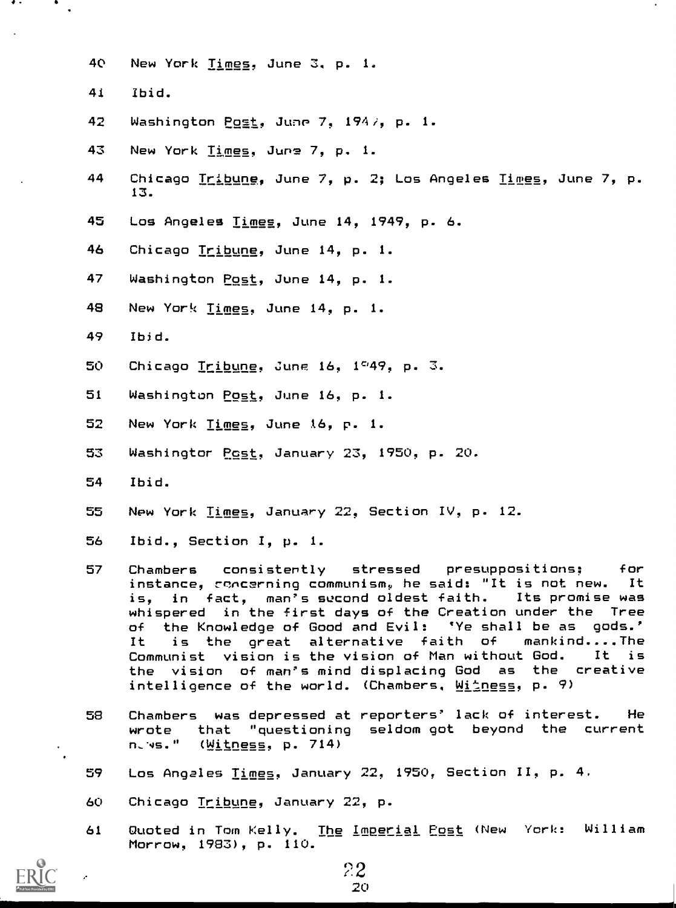- 40 New York Times, June 3. p. 1.
- 41 Ibid.

 $\bullet$  .

 $\bullet$ 

- 42 Washington Post, Jume 7, 1947, p. 1.
- 43 New York Times. Juns 7, p. 1.
- 44 Chicago Tribune, June 7, p. 2; Los Angeles Times, June 7, p. 13.
- 45 Los Angeles Times, June 14, 1949, p. 6.
- 46 Chicago Tribune, June 14, p. 1.
- 47 Washington Post, June 14, p. 1.
- 48 New York Times. June 14, p. 1.
- 49 Ibid.
- 50 Chicago <u>Tribune</u>, June 16, 1<sup>c</sup>49, p. 3.
- 51 Washington Post, June 16, p. 1.
- 52 New York Times, June 16, p. 1.
- 53 Washingtor Post, January 23, 1950, p. 20.
- 54 Ibid.
- 55 New York Times, January 22, Section IV, p. 12.
- 56 Ibid., Section I, p. 1.
- 57 Chambers consistently stressed presuppositions: for instance, roncerning communism, he said: "It is not new. It is, in fact, man's second oldest faith. Its promise was whispered in the first days of the Creation under the Tree of the Knowledge of Good and Evil: 'Ye shall be as gods.' It is the great alternative faith of Communist vision is the vision of Man without God. It is the vision of man's mind displacing God as the creative intelligence of the world. (Chambers,  $M$ itness, p. 9)
- 58 Chambers was depressed at reporters' lack of interest. He wrote that "questioning seldom got beyond the current n-4s." (Witness, p. 714)
- 59 Los Angales Times. January 22, 1950, Section II, p. 4.
- 60 Chicago Tribune, January 22, p.
- 61 Quoted in Tom Kelly. The Imperial Post (New York: William Morrow, 1983), p. 110.

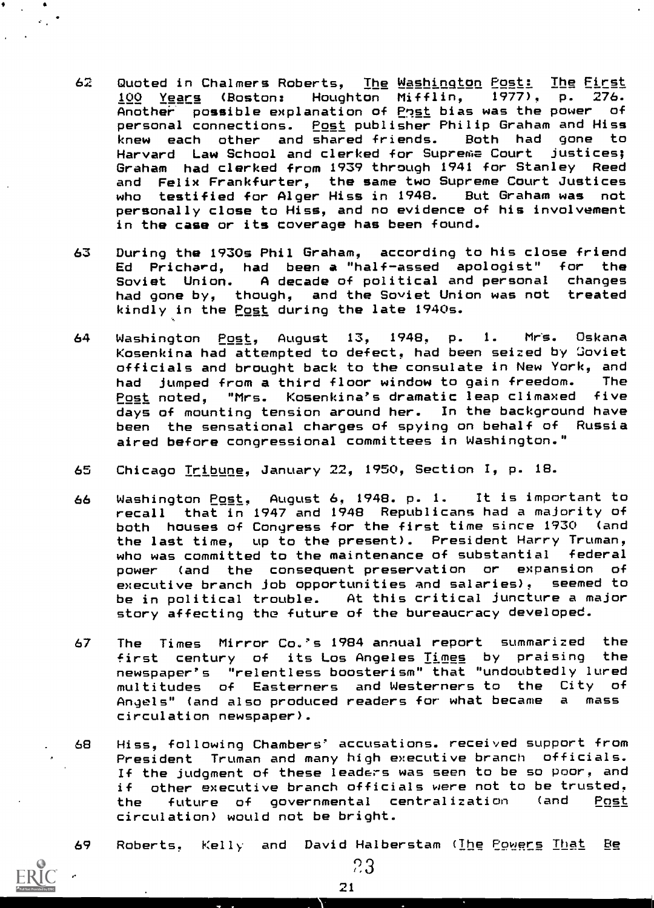- 62 Quoted in Chalmers Roberts, The Washington Post: The First 100 Years (Boston: Houghton Mifflin, 1977), p. 276. Another possible explanation of Post bias was the power of personal connections. <u>Post</u> publisher Philip Graham and His<mark>s</mark><br>knew each other and shared friends. Both had gone to knew each other and shared friends. Both had gone to Harvard Law School and clerked for Supreme Court justices; Graham had clerked from 1939 through 1941 for Stanley Reed and Felix Frankfurter, the same two Supreme Court Justices who testified for Alger Hiss in 1948. But Graham was not personally close to Hiss, and no evidence of his involvement in the case or its coverage has been found.
- 63 During the 1930s Phil Graham, according to his close friend Ed Prichard, had been a "half-assed apologist" for the Soviet Union. A decade of political and personal changes had gone by, though, and the Soviet Union was not treated kindly in the Post during the late 1940s.
- 64 Washington Post, August 13, 1948, p. 1. Mrs. Oskana Kosenkina had attempted to defect, had been seized by 'Soviet officials and brought back to the consulate in New York, and had jumped from a third floor window to gain freedom. The Post noted, "Mrs. Kosenkina's dramatic leap climaxed five days of mounting tension around her. In the background have been the sensational charges of spying on behalf of Russia aired before congressional committees in Washington."
- 65 Chicago Tribune. January 22, 1950, Section I, p. 18.
- 66 Washington Post, August 6, 1948. p. 1. It is important to recall that in 1947 and 1948 Republicans had a majority of both houses of Congress for the first time since 1930 (and the last time, up to the present). President Harry Truman, who was committed to the maintenance of substantial federal power (and the consequent preservation or expansion of executive branch job opportunities and salaries), seemed to be in political trouble. At this critical juncture a major story affecting the future of the bureaucracy developed.
- 67 The Times Mirror Co.'s 1984 annual report summarized the first century of its Los Angeles Times by praising the newspaper's "relentless boosterism" that "undoubtedly lured multitudes of Easterners and Westerners to the City of<br>Anaels" (and also produced readers for what became, a mass Angels" (and also produced readers for what became circulation newspaper).
- 68 Hiss, following Chambers' accusations. received support from President Truman and many high executive branch officials. If the judgment of these leaders was seen to be so poor, and if other executive branch officials were not to be trusted, the future of governmental centralization (and Post circulation) would not be bright.

k.

69 Roberts, Kelly and David-Halberstam (The Powers That Be